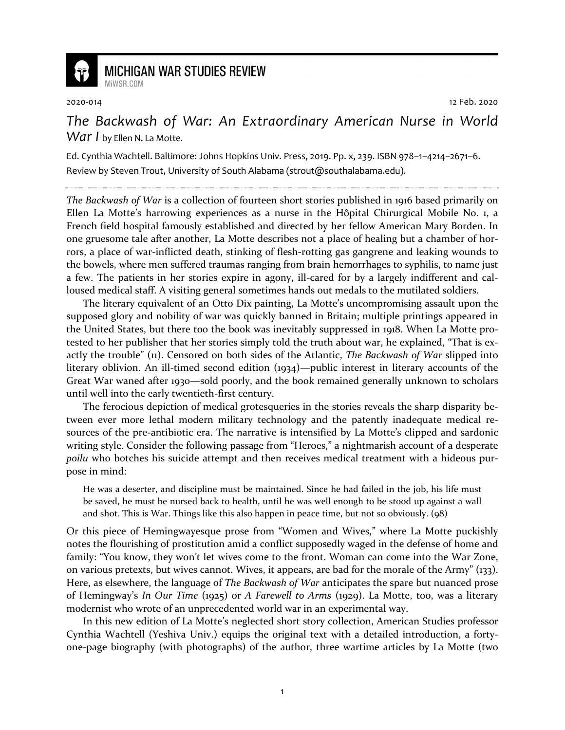

## **MICHIGAN WAR STUDIES REVIEW** MiWSR COM

2020-014 12 Feb. 2020

*The Backwash of War: An Extraordinary American Nurse in World War I* by Ellen N. La Motte.

Ed. Cynthia Wachtell. Baltimore: Johns Hopkins Univ. Press, 2019. Pp. x, 239. ISBN 978–1–4214–2671–6. Review by Steven Trout, University of South Alabama (strout@southalabama.edu).

*The Backwash of War* is a collection of fourteen short stories published in 1916 based primarily on Ellen La Motte's harrowing experiences as a nurse in the Hôpital Chirurgical Mobile No. 1, a French field hospital famously established and directed by her fellow American Mary Borden. In one gruesome tale after another, La Motte describes not a place of healing but a chamber of horrors, a place of war-inflicted death, stinking of flesh-rotting gas gangrene and leaking wounds to the bowels, where men suffered traumas ranging from brain hemorrhages to syphilis, to name just a few. The patients in her stories expire in agony, ill-cared for by a largely indifferent and calloused medical staff. A visiting general sometimes hands out medals to the mutilated soldiers.

The literary equivalent of an Otto Dix painting, La Motte's uncompromising assault upon the supposed glory and nobility of war was quickly banned in Britain; multiple printings appeared in the United States, but there too the book was inevitably suppressed in 1918. When La Motte protested to her publisher that her stories simply told the truth about war, he explained, "That is exactly the trouble" (11). Censored on both sides of the Atlantic, *The Backwash of War* slipped into literary oblivion. An ill-timed second edition (1934)—public interest in literary accounts of the Great War waned after 1930—sold poorly, and the book remained generally unknown to scholars until well into the early twentieth-first century.

The ferocious depiction of medical grotesqueries in the stories reveals the sharp disparity between ever more lethal modern military technology and the patently inadequate medical resources of the pre-antibiotic era. The narrative is intensified by La Motte's clipped and sardonic writing style. Consider the following passage from "Heroes," a nightmarish account of a desperate *poilu* who botches his suicide attempt and then receives medical treatment with a hideous purpose in mind:

He was a deserter, and discipline must be maintained. Since he had failed in the job, his life must be saved, he must be nursed back to health, until he was well enough to be stood up against a wall and shot. This is War. Things like this also happen in peace time, but not so obviously. (98)

Or this piece of Hemingwayesque prose from "Women and Wives," where La Motte puckishly notes the flourishing of prostitution amid a conflict supposedly waged in the defense of home and family: "You know, they won't let wives come to the front. Woman can come into the War Zone, on various pretexts, but wives cannot. Wives, it appears, are bad for the morale of the Army" (133). Here, as elsewhere, the language of *The Backwash of War* anticipates the spare but nuanced prose of Hemingway's *In Our Time* (1925) or *A Farewell to Arms* (1929). La Motte, too, was a literary modernist who wrote of an unprecedented world war in an experimental way.

In this new edition of La Motte's neglected short story collection, American Studies professor Cynthia Wachtell (Yeshiva Univ.) equips the original text with a detailed introduction, a fortyone-page biography (with photographs) of the author, three wartime articles by La Motte (two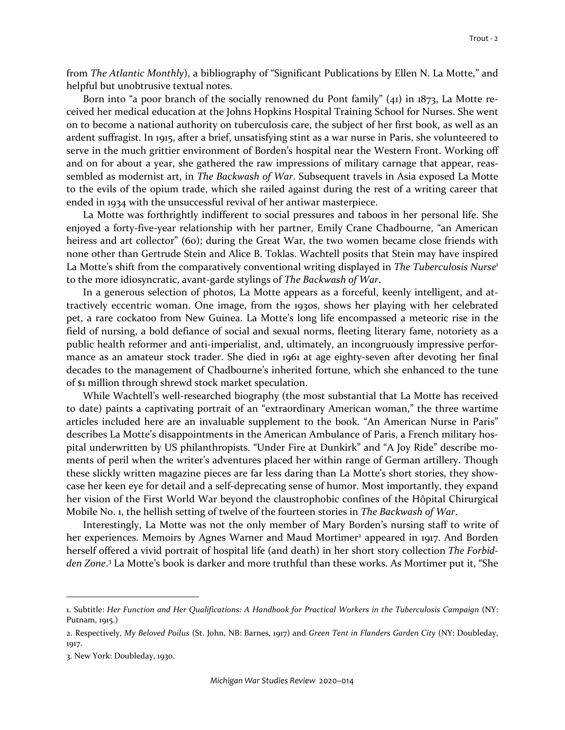from *The Atlantic Monthly*), a bibliography of "Significant Publications by Ellen N. La Motte," and helpful but unobtrusive textual notes.

Born into "a poor branch of the socially renowned du Pont family"  $(41)$  in 1873, La Motte received her medical education at the Johns Hopkins Hospital Training School for Nurses. She went on to become a national authority on tuberculosis care, the subject of her first book, as well as an ardent suffragist. In 1915, after a brief, unsatisfying stint as a war nurse in Paris, she volunteered to serve in the much grittier environment of Borden's hospital near the Western Front. Working off and on for about a year, she gathered the raw impressions of military carnage that appear, reassembled as modernist art, in *The Backwash of War*. Subsequent travels in Asia exposed La Motte to the evils of the opium trade, which she railed against during the rest of a writing career that ended in 1934 with the unsuccessful revival of her antiwar masterpiece.

La Motte was forthrightly indifferent to social pressures and taboos in her personal life. She enjoyed a forty-five-year relationship with her partner, Emily Crane Chadbourne, "an American heiress and art collector" (60); during the Great War, the two women became close friends with none other than Gertrude Stein and Alice B. Toklas. Wachtell posits that Stein may have inspired La Motte's shift from the comparatively conventional writing displayed in *The Tuberculosis Nurse*<sup>1</sup> to the more idiosyncratic, avant-garde stylings of *The Backwash of War*.

In a generous selection of photos, La Motte appears as a forceful, keenly intelligent, and attractively eccentric woman. One image, from the 1930s, shows her playing with her celebrated pet, a rare cockatoo from New Guinea. La Motte's long life encompassed a meteoric rise in the field of nursing, a bold defiance of social and sexual norms, fleeting literary fame, notoriety as a public health reformer and anti-imperialist, and, ultimately, an incongruously impressive performance as an amateur stock trader. She died in 1961 at age eighty-seven after devoting her final decades to the management of Chadbourne's inherited fortune, which she enhanced to the tune of \$1 million through shrewd stock market speculation.

While Wachtell's well-researched biography (the most substantial that La Motte has received to date) paints a captivating portrait of an "extraordinary American woman," the three wartime articles included here are an invaluable supplement to the book. "An American Nurse in Paris" describes La Motte's disappointments in the American Ambulance of Paris, a French military hospital underwritten by US philanthropists. "Under Fire at Dunkirk" and "A Joy Ride" describe moments of peril when the writer's adventures placed her within range of German artillery. Though these slickly written magazine pieces are far less daring than La Motte's short stories, they showcase her keen eye for detail and a self-deprecating sense of humor. Most importantly, they expand her vision of the First World War beyond the claustrophobic confines of the Hôpital Chirurgical Mobile No. 1, the hellish setting of twelve of the fourteen stories in *The Backwash of War*.

Interestingly, La Motte was not the only member of Mary Borden's nursing staff to write of her experiences. Memoirs by Agnes Warner and Maud Mortimer<sup>2</sup> appeared in 1917. And Borden herself offered a vivid portrait of hospital life (and death) in her short story collection *The Forbidden Zone*. 3 La Motte's book is darker and more truthful than these works. As Mortimer put it, "She

<sup>1.</sup> Subtitle: *Her Function and Her Qualifications: A Handbook for Practical Workers in the Tuberculosis Campaign* (NY: Putnam, 1915.)

<sup>2.</sup> Respectively, *My Beloved Poilus* (St. John, NB: Barnes, 1917) and *Green Tent in Flanders Garden City* (NY: Doubleday, 1917.

<sup>3.</sup> New York: Doubleday, 1930.